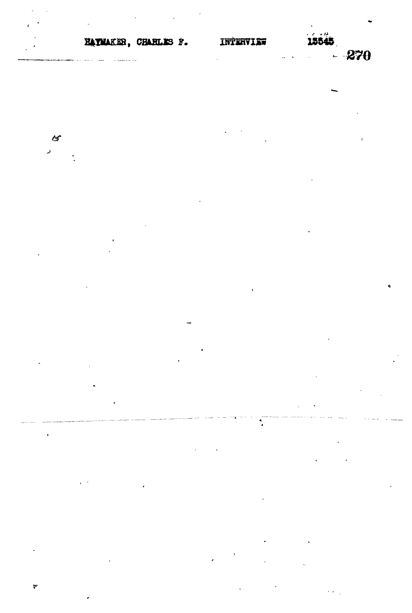ぼ ر

15645  $-270$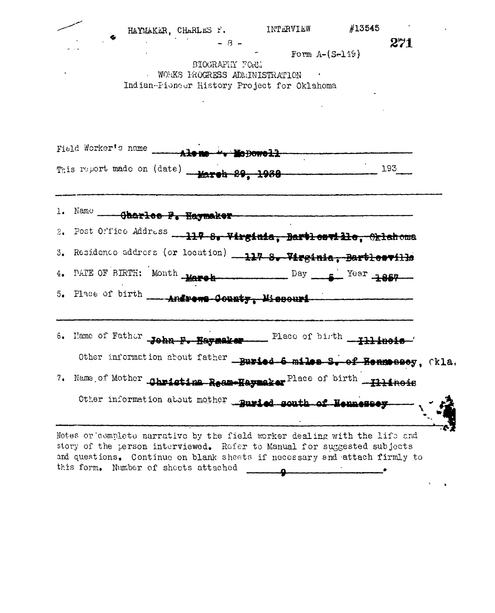| HAYMAKER, CHARLES F. INTERVIEW<br>$-8-$<br><b>BIOGRAPIN FORM</b><br>WORKS PROGRESS ADMINISTRATION<br>Indian-Fioneer History Project for Oklahoma                                                                                                                          | #13545<br>271<br>Form $A - (S-119)$                                                                 |
|---------------------------------------------------------------------------------------------------------------------------------------------------------------------------------------------------------------------------------------------------------------------------|-----------------------------------------------------------------------------------------------------|
| Field Worker's name<br>This report made on (date) - March 29, 1968                                                                                                                                                                                                        | 193                                                                                                 |
| Name - Gharles F. Haymaker<br>2. Post Office Address __117 8. Virginia, Dartlesville, Oklahoma<br>3. Residence address (or location) 117 8. Virginia, Bartlesville<br>4. PATE OF BIRTH: Month<br>5. Place of birth ___ Andrews County, Missouri                           | $\frac{Day - 2.887}{1000}$                                                                          |
| 6. Name of Father John F. Haynaker<br>7. Name of Mother Christina Resm-Haymaker Place of birth -1114nois<br>Other information about mother preded south of Nennessey                                                                                                      | Place of birth -HHinois<br>Other information about father ___ Buried-6 miles S. of Hennessey, Ckla. |
| Notes or complete narrative by the field worker dealing with the life and<br>story of the person interviewed. Refer to Manual for suggested subjects<br>and questions. Continue on blank sheets if necessary and attach firmly to<br>this form. Number of sheets attached |                                                                                                     |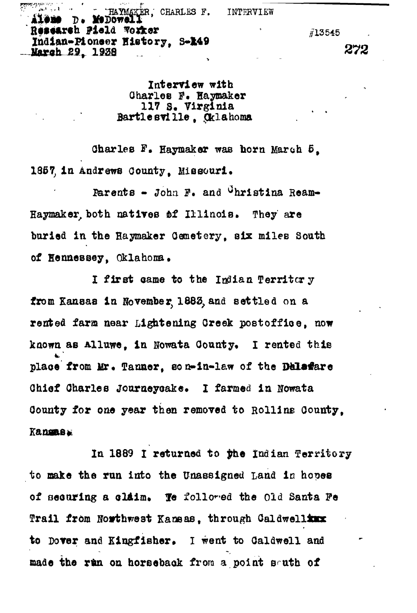engenteri (\* 1787)<br>17. juli – Suite II HAYMAKER, CHARLES F. INTERVIEW Aleme D. MeDowell **ftermitted field worker •**  $\frac{1}{2}$  $\frac{1}{3545}$ Indian-Pioneer History, S-149 *lt*  **1928 .**

272

## **Interview with** Charles F. Haymaker **117 3. Virginia Bartlesville**, **Cklahoma**

Charles F. Haymaker was born March 5. 1857, in Andrews County, Missouri.

**Parents - John F. and <sup>C</sup>hristina Ream-**Haymaker, both natives of Illinois. They are **buried in the Haymaker Cemetery, sis miles South of Hennessey, Oklahoma.**

**I first oame to the Indian Territory from Kansas in November^ 1883^ and settled on a rented farm near Lightening Creek postoffioe, now** known as **Alluwe**, in Nowata County. I rented this place from *Mr.* Tanner, son-in-law of the Delafare **Chief Charles Jooraeyoake. I farmed in Nowata County for one year then removed to Rollins County, Kansas \$**

In 1889 I returned to the Indian Territory **to make the run into the Unassigned Land in hopes** of securing a claim. Te followed the Old Santa Fe Trail from Northwest Kansas, through Caldwell**ing to Dover and Kingfisher. I went to Oaldwell and** made the ran on horseback from a point seuth of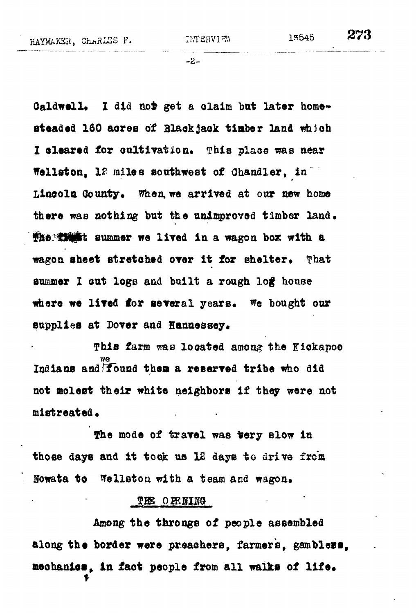$-2-$ 

**Caldwell. I did not get a claim but later homesteaded 160 aores of Blaokjaok timber land which** I cleared for cultivation. This place was near **Wellstoa, 12 miles southwest of 0handler, in Lincoln Oouaty. When, we arrived at our new home** there was nothing but the unimproved timber land. **Hist Einst Bummer we lived in a wagon box with a** wagon sheet stretched over it for shelter. That **summer X out logs and built a rough log house** where we lived for several years. We bought our **supplies at Dover and Eanneseey.**

**This farm was located among the Fiokapoo** Indians and found then a reserved tribe who did **Indians and^Tound then a reserved tribe who did not molest their white neighbors if they were not** mistreated. **mistreated\***

**fhe mode of travel was \*ery slow in those days and it to oik us 12 days to** *dzivs* **' Howata to We list o a with a team and wagon\***

## THE OENING

**Among the thronge of people assembled along the border were preaohers, farmers, gamblers, meohanios^ la fact people from all walks of life\***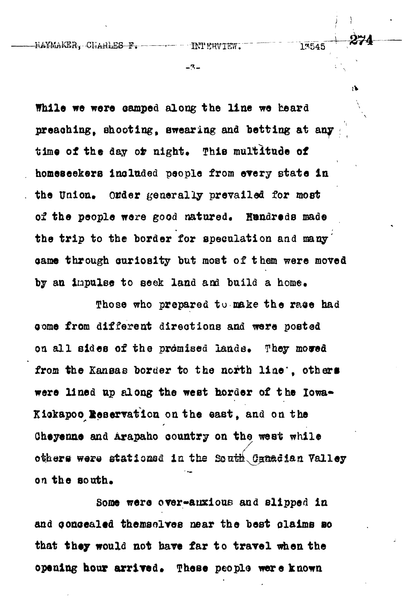HAYMAKER, CHARLES F. - - - - TNT ERVIEW.

13545

١b

 $-7-$ 

While we were camped along the line we heard preaching, shooting, swearing and betting at any time of the day or night. This multitude of homeseekers included people from every state in the Union. Order generally prevailed for most of the people were good natured. Hundreds made the trip to the border for speculation and many came through curiosity but most of them were moved by an impulse to seek land and build a home.

Those who prepared to make the race had come from different directions and were posted on all sides of the promised lands. They moved from the Kansas border to the north line. others were lined up along the west horder of the lowa-Kickapoo Reservation on the east, and on the Cheyenne and Arapaho country on the west while others were stationed in the South Canadian Valley on the south.

Some were over-auxious and slipped in and concealed themselves near the best claims so that they would not have far to travel when the opening hour arrived. These people were known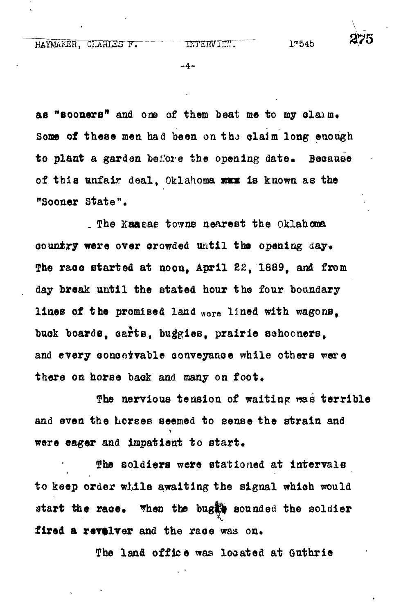HAYMAKER, CLARLES F.

INTERVIEW.

13545

**- 4 -**

as "sooners" and one of them beat me to my claim. Some of these men had been on the claim long enough to plant a garden before the opening date. Because **of this unfair deal, Oklahoma xsx Is known as the "Sooner State",**

**. The Kaaeae towns nearest the Oklahoma country were over crowded until the opening** *day\** **The raoe started at noon, April 22, 1889, and from day break until the stated hour the four boundary lines of the promised land were lined with wagons, buok boards, carts, buggies, prairie schooners, and** *every* **conceivable conveyance while others were** there on horse back and many on foot.

**The nervious tension of waiting was terrible and even the torses seemed to sense the strain and** were eager and impatient to start.

**The soldiers were stationed at intervals** to keep order while awaiting the signal which would start the race. When the bugis sounded the soldier fired a revelver and the race was on.

The land office was located at Guthrie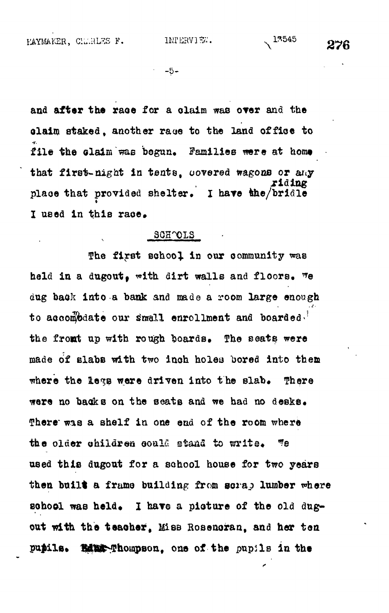$-5-$ 

**and after the raoe for a olaim was over and the olaim staked f another raoe to the land office to file the ©laim was begun. Families were at home that first-night in tent8, oovered wagons or arty** place that provided shelter. I have the bridle **X used in this raoe.**

## $30H$ <sup>1</sup>OLS

**The first sohoo}. in our community was held in a dugout» with dirt walls and floors, ^e** dug back into a bank and made a room large enough to accompodate our small enrollment and boarded.<sup>3</sup> the fromt up with rough boards. The seats were **made of slabs with two inoh holea bored into them** where the legs were driven into the slab. There were no backs on the seats and we had no desks. **There' was a shelf in one end of the room where** the older children coald stand to write. We **used this dugout for a school house for two years** then built a frame building from scrap lumber where school was held. I have a picture of the old dug**out with the teaoher, Miss Bosenoran, and her tea** pupils. **BdWM**-Thompson, one of the pupils in the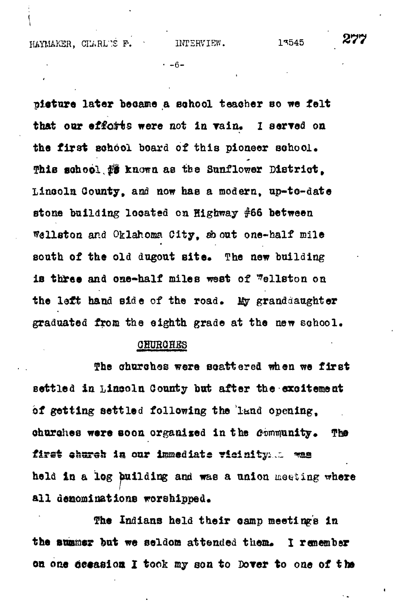HAYMAKER, CHARLES F. (INTERVIEW. 13545)

 $-6-$ 

**picture later became a school teacher so we felt that oar efforts were not in rain. 2 ear Ted on the first school board of this pioneer school. This school, is known as the Sunflower District. Linoola Gouaty, and now has a modern, up-to-date stone building located oa Highway #66 between v^llstoa and Oklahoma City, sb out one-half mile** south of the old dugout site. The new building **is three and one-half miles west of ^e 11ston on** the left hand side of the road. My granddaughter **graduated from the eighth grade at the new school.**

## **qHPBQESS**

**The churches were scattered when we first Battled in Lincoln County but after the excitement of getting settled following the 'land opening, ohurolies were soon organised in the** first church in our immediate vicinity... was **held in a log building and was a union meeting where a l l denominations worshipped\***

**The Indians held their oamp meetings in** the summer but we seldom attended them. I remember **oa one occasion 2 took** *my* **son to Dover to one of tb»**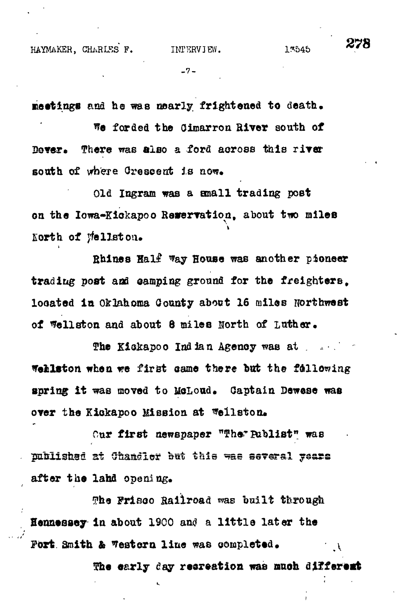HAYMAKER. CHARLES F.

13545

 $-7-$ 

meetings and he was mearly frightened to death.

We forded the Cimarron River south of Dover. There was also a ford across this river south of where Grescent is now.

Old Ingram was a small trading post on the lowa-Kickapoo Reservation, about two miles North of yellston.

Rhines Half Way House was another pioneer trading post and camping ground for the freighters. located in Oklahoma County about 16 miles Northwest of Wellston and about 8 miles North of Luther.

The Kickapoo Indian Agency was at the second state of the second state of the Second State State State State State State State State State State State State State State State State State State State State State State State Wehlston when we first came there but the fallowing spring it was moved to McLoud. Captain Dewese was over the Kickapoo Mission at Wellston.

Our first newspaper "The Publist" was published at Chandler but this was several years after the lahd opening.

The Frisco Railroad was built through Hennessey in about 1900 and a little later the Fort Smith & Vestern line was completed.  $\mathcal{A}$ .

The early day resreation was much different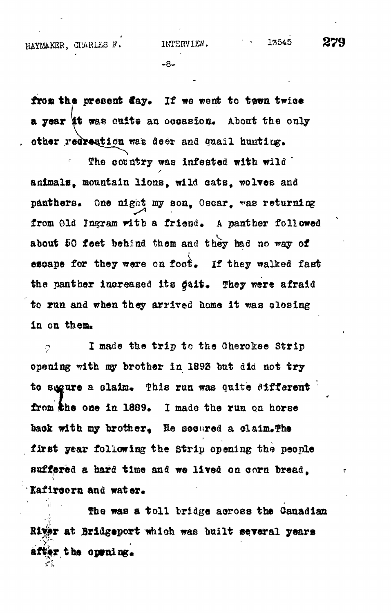**•\*?**

**-8-**

from the present day. If we went to twwn twice a year it was ouits an occasion. About the only other redrestion was deer and quail hunting.

**5?he country was infested with wild " animals, mountain lions, wild oats, wolves and panthers. One night my soa<sup>t</sup> Oscar, \*»as returning from Old Ingram with a friend, A panther followed about 60 feet behind them and they had no way of escape for they were on foot, if they walked fast** the panther increased its  $\beta$ ait. They were afraid **to rua and when they arrived hoaa it was ©losing** in on them.

**;> I made the trip to the Ohero&ee Strip opening with** *my* **brother in 1892 but did not try to secure a claim, This run was quite different** from the one in 1889. I made the run on horse back with my brother, He secured a claim. The first year following the Strip opening the people suffered a hard time and we lived on corn bread. **suffered a hard time and we lived on corn bread, ?**

The was a toll bridge across the Canadian River at Bridgeport which was built several years **Hiy#r at Bridgeport whioh was built ceveral years afttr the opening.**